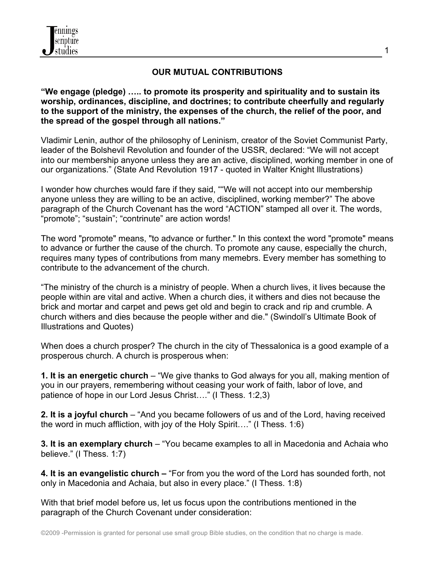

### **OUR MUTUAL CONTRIBUTIONS**

#### **"We engage (pledge) ….. to promote its prosperity and spirituality and to sustain its worship, ordinances, discipline, and doctrines; to contribute cheerfully and regularly to the support of the ministry, the expenses of the church, the relief of the poor, and the spread of the gospel through all nations."**

Vladimir Lenin, author of the philosophy of Leninism, creator of the Soviet Communist Party, leader of the Bolshevil Revolution and founder of the USSR, declared: "We will not accept into our membership anyone unless they are an active, disciplined, working member in one of our organizations." (State And Revolution 1917 - quoted in Walter Knight Illustrations)

I wonder how churches would fare if they said, ""We will not accept into our membership anyone unless they are willing to be an active, disciplined, working member?" The above paragraph of the Church Covenant has the word "ACTION" stamped all over it. The words, "promote"; "sustain"; "contrinute" are action words!

The word "promote" means, "to advance or further." In this context the word "promote" means to advance or further the cause of the church. To promote any cause, especially the church, requires many types of contributions from many memebrs. Every member has something to contribute to the advancement of the church.

"The ministry of the church is a ministry of people. When a church lives, it lives because the people within are vital and active. When a church dies, it withers and dies not because the brick and mortar and carpet and pews get old and begin to crack and rip and crumble. A church withers and dies because the people wither and die." (Swindoll's Ultimate Book of Illustrations and Quotes)

When does a church prosper? The church in the city of Thessalonica is a good example of a prosperous church. A church is prosperous when:

**1. It is an energetic church** – "We give thanks to God always for you all, making mention of you in our prayers, remembering without ceasing your work of faith, labor of love, and patience of hope in our Lord Jesus Christ…." (I Thess. 1:2,3)

**2. It is a joyful church** – "And you became followers of us and of the Lord, having received the word in much affliction, with joy of the Holy Spirit…." (I Thess. 1:6)

**3. It is an exemplary church** – "You became examples to all in Macedonia and Achaia who believe." (I Thess. 1:7)

**4. It is an evangelistic church –** "For from you the word of the Lord has sounded forth, not only in Macedonia and Achaia, but also in every place." (I Thess. 1:8)

With that brief model before us, let us focus upon the contributions mentioned in the paragraph of the Church Covenant under consideration:

1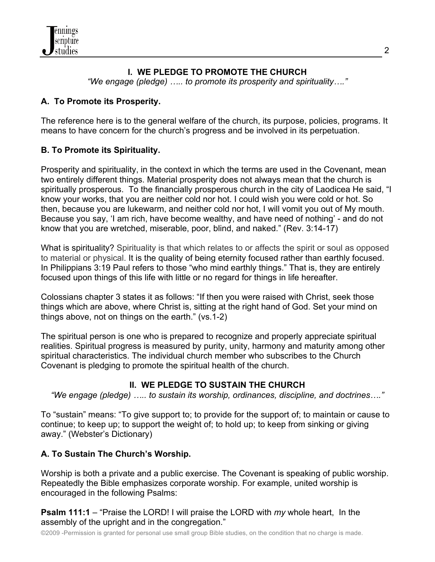# **I. WE PLEDGE TO PROMOTE THE CHURCH**

*"We engage (pledge) ….. to promote its prosperity and spirituality…."*

### **A. To Promote its Prosperity.**

The reference here is to the general welfare of the church, its purpose, policies, programs. It means to have concern for the church's progress and be involved in its perpetuation.

# **B. To Promote its Spirituality.**

Prosperity and spirituality, in the context in which the terms are used in the Covenant, mean two entirely different things. Material prosperity does not always mean that the church is spiritually prosperous. To the financially prosperous church in the city of Laodicea He said, "I know your works, that you are neither cold nor hot. I could wish you were cold or hot. So then, because you are lukewarm, and neither cold nor hot, I will vomit you out of My mouth. Because you say, 'I am rich, have become wealthy, and have need of nothing' - and do not know that you are wretched, miserable, poor, blind, and naked." (Rev. 3:14-17)

What is spirituality? Spirituality is that which relates to or affects the spirit or soul as opposed to material or physical. It is the quality of being eternity focused rather than earthly focused. In Philippians 3:19 Paul refers to those "who mind earthly things." That is, they are entirely focused upon things of this life with little or no regard for things in life hereafter.

Colossians chapter 3 states it as follows: "If then you were raised with Christ, seek those things which are above, where Christ is, sitting at the right hand of God. Set your mind on things above, not on things on the earth." (vs.1-2)

The spiritual person is one who is prepared to recognize and properly appreciate spiritual realities. Spiritual progress is measured by purity, unity, harmony and maturity among other spiritual characteristics. The individual church member who subscribes to the Church Covenant is pledging to promote the spiritual health of the church.

### **II. WE PLEDGE TO SUSTAIN THE CHURCH**

*"We engage (pledge) ….. to sustain its worship, ordinances, discipline, and doctrines…."*

To "sustain" means: "To give support to; to provide for the support of; to maintain or cause to continue; to keep up; to support the weight of; to hold up; to keep from sinking or giving away." (Webster's Dictionary)

# **A. To Sustain The Church's Worship.**

Worship is both a private and a public exercise. The Covenant is speaking of public worship. Repeatedly the Bible emphasizes corporate worship. For example, united worship is encouraged in the following Psalms:

**Psalm 111:1** – "Praise the LORD! I will praise the LORD with *my* whole heart, In the assembly of the upright and in the congregation."

©2009 -Permission is granted for personal use small group Bible studies, on the condition that no charge is made.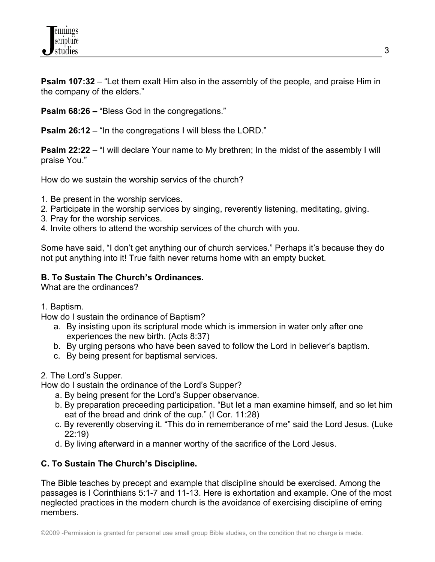

**Psalm 107:32** – "Let them exalt Him also in the assembly of the people, and praise Him in the company of the elders."

**Psalm 68:26 –** "Bless God in the congregations."

**Psalm 26:12** – "In the congregations I will bless the LORD."

**Psalm 22:22** – "I will declare Your name to My brethren; In the midst of the assembly I will praise You."

How do we sustain the worship servics of the church?

- 1. Be present in the worship services.
- 2. Participate in the worship services by singing, reverently listening, meditating, giving.
- 3. Pray for the worship services.
- 4. Invite others to attend the worship services of the church with you.

Some have said, "I don't get anything our of church services." Perhaps it's because they do not put anything into it! True faith never returns home with an empty bucket.

### **B. To Sustain The Church's Ordinances.**

What are the ordinances?

1. Baptism.

How do I sustain the ordinance of Baptism?

- a. By insisting upon its scriptural mode which is immersion in water only after one experiences the new birth. (Acts 8:37)
- b. By urging persons who have been saved to follow the Lord in believer's baptism.
- c. By being present for baptismal services.

2. The Lord's Supper.

How do I sustain the ordinance of the Lord's Supper?

- a. By being present for the Lord's Supper observance.
- b. By preparation preceeding participation. "But let a man examine himself, and so let him eat of the bread and drink of the cup." (I Cor. 11:28)
- c. By reverently observing it. "This do in rememberance of me" said the Lord Jesus. (Luke 22:19)
- d. By living afterward in a manner worthy of the sacrifice of the Lord Jesus.

### **C. To Sustain The Church's Discipline.**

The Bible teaches by precept and example that discipline should be exercised. Among the passages is I Corinthians 5:1-7 and 11-13. Here is exhortation and example. One of the most neglected practices in the modern church is the avoidance of exercising discipline of erring members.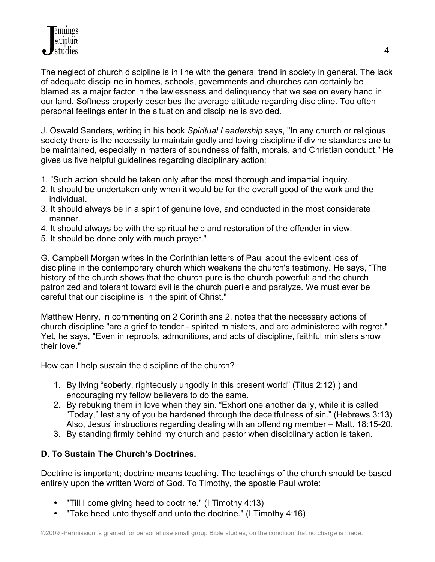The neglect of church discipline is in line with the general trend in society in general. The lack of adequate discipline in homes, schools, governments and churches can certainly be blamed as a major factor in the lawlessness and delinquency that we see on every hand in our land. Softness properly describes the average attitude regarding discipline. Too often personal feelings enter in the situation and discipline is avoided.

J. Oswald Sanders, writing in his book *Spiritual Leadership* says, "In any church or religious society there is the necessity to maintain godly and loving discipline if divine standards are to be maintained, especially in matters of soundness of faith, morals, and Christian conduct." He gives us five helpful guidelines regarding disciplinary action:

- 1. "Such action should be taken only after the most thorough and impartial inquiry.
- 2. It should be undertaken only when it would be for the overall good of the work and the individual.
- 3. It should always be in a spirit of genuine love, and conducted in the most considerate manner.
- 4. It should always be with the spiritual help and restoration of the offender in view.
- 5. It should be done only with much prayer."

G. Campbell Morgan writes in the Corinthian letters of Paul about the evident loss of discipline in the contemporary church which weakens the church's testimony. He says, "The history of the church shows that the church pure is the church powerful; and the church patronized and tolerant toward evil is the church puerile and paralyze. We must ever be careful that our discipline is in the spirit of Christ."

Matthew Henry, in commenting on 2 Corinthians 2, notes that the necessary actions of church discipline "are a grief to tender - spirited ministers, and are administered with regret." Yet, he says, "Even in reproofs, admonitions, and acts of discipline, faithful ministers show their love."

How can I help sustain the discipline of the church?

- 1. By living "soberly, righteously ungodly in this present world" (Titus 2:12) ) and encouraging my fellow believers to do the same.
- 2. By rebuking them in love when they sin. "Exhort one another daily, while it is called "Today," lest any of you be hardened through the deceitfulness of sin." (Hebrews 3:13) Also, Jesus' instructions regarding dealing with an offending member – Matt. 18:15-20.
- 3. By standing firmly behind my church and pastor when disciplinary action is taken.

# **D. To Sustain The Church's Doctrines.**

Doctrine is important; doctrine means teaching. The teachings of the church should be based entirely upon the written Word of God. To Timothy, the apostle Paul wrote:

- "Till I come giving heed to doctrine." (I Timothy 4:13)
- "Take heed unto thyself and unto the doctrine." (I Timothy 4:16)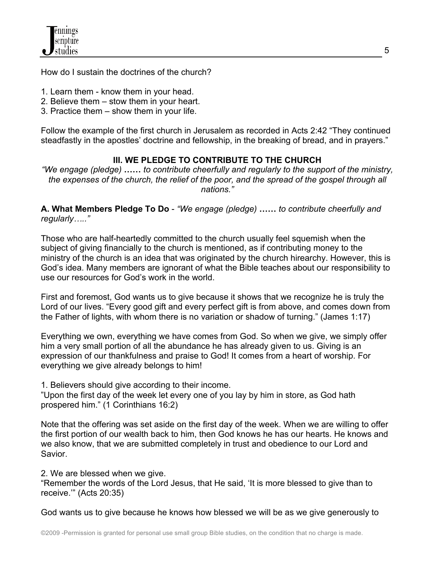How do I sustain the doctrines of the church?

- 1. Learn them know them in your head.
- 2. Believe them stow them in your heart.
- 3. Practice them show them in your life.

Follow the example of the first church in Jerusalem as recorded in Acts 2:42 "They continued steadfastly in the apostles' doctrine and fellowship, in the breaking of bread, and in prayers."

# **III. WE PLEDGE TO CONTRIBUTE TO THE CHURCH**

*"We engage (pledge)* **……** *to contribute cheerfully and regularly to the support of the ministry, the expenses of the church, the relief of the poor, and the spread of the gospel through all nations."*

**A. What Members Pledge To Do** - *"We engage (pledge)* **……** *to contribute cheerfully and regularly….."*

Those who are half-heartedly committed to the church usually feel squemish when the subject of giving financially to the church is mentioned, as if contributing money to the ministry of the church is an idea that was originated by the church hirearchy. However, this is God's idea. Many members are ignorant of what the Bible teaches about our responsibility to use our resources for God's work in the world.

First and foremost, God wants us to give because it shows that we recognize he is truly the Lord of our lives. "Every good gift and every perfect gift is from above, and comes down from the Father of lights, with whom there is no variation or shadow of turning." (James 1:17)

Everything we own, everything we have comes from God. So when we give, we simply offer him a very small portion of all the abundance he has already given to us. Giving is an expression of our thankfulness and praise to God! It comes from a heart of worship. For everything we give already belongs to him!

1. Believers should give according to their income.

"Upon the first day of the week let every one of you lay by him in store, as God hath prospered him." (1 Corinthians 16:2)

Note that the offering was set aside on the first day of the week. When we are willing to offer the first portion of our wealth back to him, then God knows he has our hearts. He knows and we also know, that we are submitted completely in trust and obedience to our Lord and Savior.

2. We are blessed when we give.

"Remember the words of the Lord Jesus, that He said, 'It is more blessed to give than to receive.'" (Acts 20:35)

God wants us to give because he knows how blessed we will be as we give generously to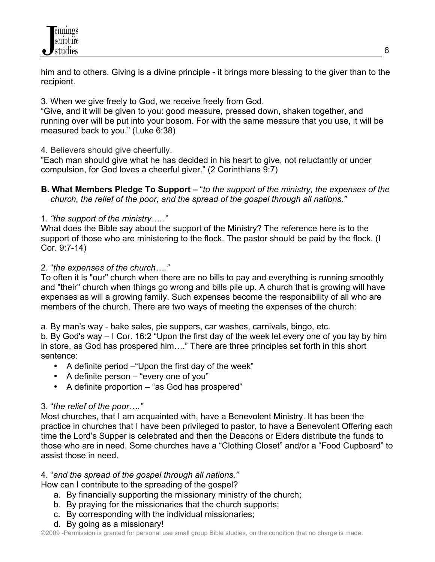

him and to others. Giving is a divine principle - it brings more blessing to the giver than to the recipient.

3. When we give freely to God, we receive freely from God.

"Give, and it will be given to you: good measure, pressed down, shaken together, and running over will be put into your bosom. For with the same measure that you use, it will be measured back to you." (Luke 6:38)

4. Believers should give cheerfully.

"Each man should give what he has decided in his heart to give, not reluctantly or under compulsion, for God loves a cheerful giver." (2 Corinthians 9:7)

**B. What Members Pledge To Support –** "*to the support of the ministry, the expenses of the church, the relief of the poor, and the spread of the gospel through all nations."*

1. *"the support of the ministry….."*

What does the Bible say about the support of the Ministry? The reference here is to the support of those who are ministering to the flock. The pastor should be paid by the flock. (I Cor. 9:7-14)

#### 2. "*the expenses of the church…."*

To often it is "our" church when there are no bills to pay and everything is running smoothly and "their" church when things go wrong and bills pile up. A church that is growing will have expenses as will a growing family. Such expenses become the responsibility of all who are members of the church. There are two ways of meeting the expenses of the church:

a. By man's way - bake sales, pie suppers, car washes, carnivals, bingo, etc.

b. By God's way – I Cor. 16:2 "Upon the first day of the week let every one of you lay by him in store, as God has prospered him…." There are three principles set forth in this short sentence:

- A definite period –"Upon the first day of the week"
- A definite person "every one of you"
- A definite proportion "as God has prospered"

### 3. "*the relief of the poor…."*

Most churches, that I am acquainted with, have a Benevolent Ministry. It has been the practice in churches that I have been privileged to pastor, to have a Benevolent Offering each time the Lord's Supper is celebrated and then the Deacons or Elders distribute the funds to those who are in need. Some churches have a "Clothing Closet" and/or a "Food Cupboard" to assist those in need.

#### 4. "*and the spread of the gospel through all nations."*

How can I contribute to the spreading of the gospel?

- a. By financially supporting the missionary ministry of the church;
- b. By praying for the missionaries that the church supports;
- c. By corresponding with the individual missionaries;
- d. By going as a missionary!

©2009 -Permission is granted for personal use small group Bible studies, on the condition that no charge is made.